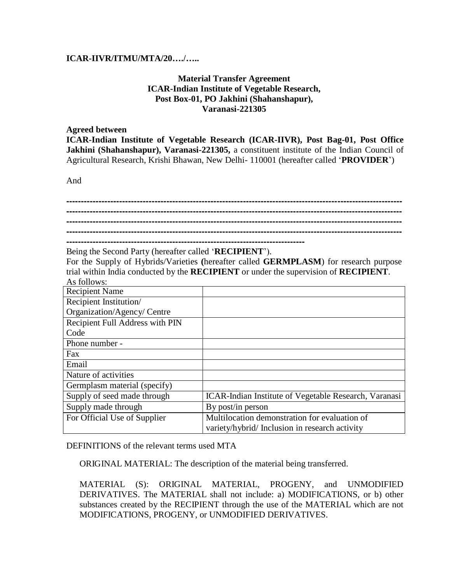## **ICAR-IIVR/ITMU/MTA/20…./…..**

## **Material Transfer Agreement ICAR-Indian Institute of Vegetable Research, Post Box-01, PO Jakhini (Shahanshapur), Varanasi-221305**

## **Agreed between**

**ICAR-Indian Institute of Vegetable Research (ICAR-IIVR), Post Bag-01, Post Office Jakhini (Shahanshapur), Varanasi-221305,** a constituent institute of the Indian Council of Agricultural Research, Krishi Bhawan, New Delhi- 110001 (hereafter called '**PROVIDER**')

And

Being the Second Party (hereafter called '**RECIPIENT**').

For the Supply of Hybrids/Varieties **(**hereafter called **GERMPLASM**) for research purpose trial within India conducted by the **RECIPIENT** or under the supervision of **RECIPIENT**. As follows:

| <b>Recipient Name</b>           |                                                       |  |
|---------------------------------|-------------------------------------------------------|--|
| Recipient Institution/          |                                                       |  |
| Organization/Agency/ Centre     |                                                       |  |
| Recipient Full Address with PIN |                                                       |  |
| Code                            |                                                       |  |
| Phone number -                  |                                                       |  |
| Fax                             |                                                       |  |
| Email                           |                                                       |  |
| Nature of activities            |                                                       |  |
| Germplasm material (specify)    |                                                       |  |
| Supply of seed made through     | ICAR-Indian Institute of Vegetable Research, Varanasi |  |
| Supply made through             | By post/in person                                     |  |
| For Official Use of Supplier    | Multilocation demonstration for evaluation of         |  |
|                                 | variety/hybrid/Inclusion in research activity         |  |

DEFINITIONS of the relevant terms used MTA

ORIGINAL MATERIAL: The description of the material being transferred.

MATERIAL (S): ORIGINAL MATERIAL, PROGENY, and UNMODIFIED DERIVATIVES. The MATERIAL shall not include: a) MODIFICATIONS, or b) other substances created by the RECIPIENT through the use of the MATERIAL which are not MODIFICATIONS, PROGENY, or UNMODIFIED DERIVATIVES.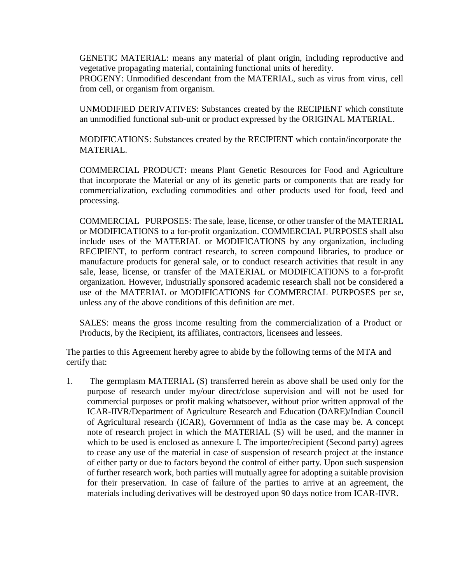GENETIC MATERIAL: means any material of plant origin, including reproductive and vegetative propagating material, containing functional units of heredity.

PROGENY: Unmodified descendant from the MATERIAL, such as virus from virus, cell from cell, or organism from organism.

UNMODIFIED DERIVATIVES: Substances created by the RECIPIENT which constitute an unmodified functional sub-unit or product expressed by the ORIGINAL MATERIAL.

MODIFICATIONS: Substances created by the RECIPIENT which contain/incorporate the MATERIAL.

COMMERCIAL PRODUCT: means Plant Genetic Resources for Food and Agriculture that incorporate the Material or any of its genetic parts or components that are ready for commercialization, excluding commodities and other products used for food, feed and processing.

COMMERCIAL PURPOSES: The sale, lease, license, or other transfer of the MATERIAL or MODIFICATIONS to a for-profit organization. COMMERCIAL PURPOSES shall also include uses of the MATERIAL or MODIFICATIONS by any organization, including RECIPIENT, to perform contract research, to screen compound libraries, to produce or manufacture products for general sale, or to conduct research activities that result in any sale, lease, license, or transfer of the MATERIAL or MODIFICATIONS to a for-profit organization. However, industrially sponsored academic research shall not be considered a use of the MATERIAL or MODIFICATIONS for COMMERCIAL PURPOSES per se, unless any of the above conditions of this definition are met.

SALES: means the gross income resulting from the commercialization of a Product or Products, by the Recipient, its affiliates, contractors, licensees and lessees.

The parties to this Agreement hereby agree to abide by the following terms of the MTA and certify that:

1. The germplasm MATERIAL (S) transferred herein as above shall be used only for the purpose of research under my/our direct/close supervision and will not be used for commercial purposes or profit making whatsoever, without prior written approval of the ICAR-IIVR/Department of Agriculture Research and Education (DARE)/Indian Council of Agricultural research (ICAR), Government of India as the case may be. A concept note of research project in which the MATERIAL (S) will be used, and the manner in which to be used is enclosed as annexure I. The importer/recipient (Second party) agrees to cease any use of the material in case of suspension of research project at the instance of either party or due to factors beyond the control of either party. Upon such suspension of further research work, both parties will mutually agree for adopting a suitable provision for their preservation. In case of failure of the parties to arrive at an agreement, the materials including derivatives will be destroyed upon 90 days notice from ICAR-IIVR.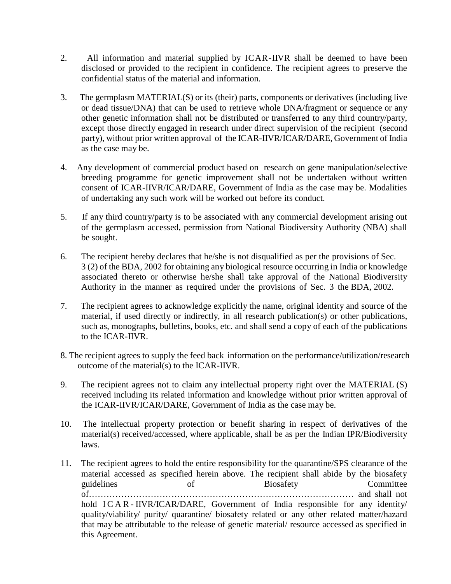- 2. All information and material supplied by ICAR-IIVR shall be deemed to have been disclosed or provided to the recipient in confidence. The recipient agrees to preserve the confidential status of the material and information.
- 3. The germplasm MATERIAL(S) or its (their) parts, components or derivatives (including live or dead tissue/DNA) that can be used to retrieve whole DNA/fragment or sequence or any other genetic information shall not be distributed or transferred to any third country/party, except those directly engaged in research under direct supervision of the recipient (second party), without prior written approval of the ICAR-IIVR/ICAR/DARE, Government of India as the case may be.
- 4. Any development of commercial product based on research on gene manipulation/selective breeding programme for genetic improvement shall not be undertaken without written consent of ICAR-IIVR/ICAR/DARE, Government of India as the case may be. Modalities of undertaking any such work will be worked out before its conduct.
- 5. If any third country/party is to be associated with any commercial development arising out of the germplasm accessed, permission from National Biodiversity Authority (NBA) shall be sought.
- 6. The recipient hereby declares that he/she is not disqualified as per the provisions of Sec. 3 (2) of the BDA, 2002 for obtaining any biological resource occurring in India or knowledge associated thereto or otherwise he/she shall take approval of the National Biodiversity Authority in the manner as required under the provisions of Sec. 3 the BDA, 2002.
- 7. The recipient agrees to acknowledge explicitly the name, original identity and source of the material, if used directly or indirectly, in all research publication(s) or other publications, such as, monographs, bulletins, books, etc. and shall send a copy of each of the publications to the ICAR-IIVR.
- 8. The recipient agrees to supply the feed back information on the performance/utilization/research outcome of the material(s) to the ICAR-IIVR.
- 9. The recipient agrees not to claim any intellectual property right over the MATERIAL (S) received including its related information and knowledge without prior written approval of the ICAR-IIVR/ICAR/DARE, Government of India as the case may be.
- 10. The intellectual property protection or benefit sharing in respect of derivatives of the material(s) received/accessed, where applicable, shall be as per the Indian IPR/Biodiversity laws.
- 11. The recipient agrees to hold the entire responsibility for the quarantine/SPS clearance of the material accessed as specified herein above. The recipient shall abide by the biosafety guidelines of Biosafety Committee of……………………………………………………………………………… and shall not hold ICAR-IIVR/ICAR/DARE, Government of India responsible for any identity/ quality/viability/ purity/ quarantine/ biosafety related or any other related matter/hazard that may be attributable to the release of genetic material/ resource accessed as specified in this Agreement.